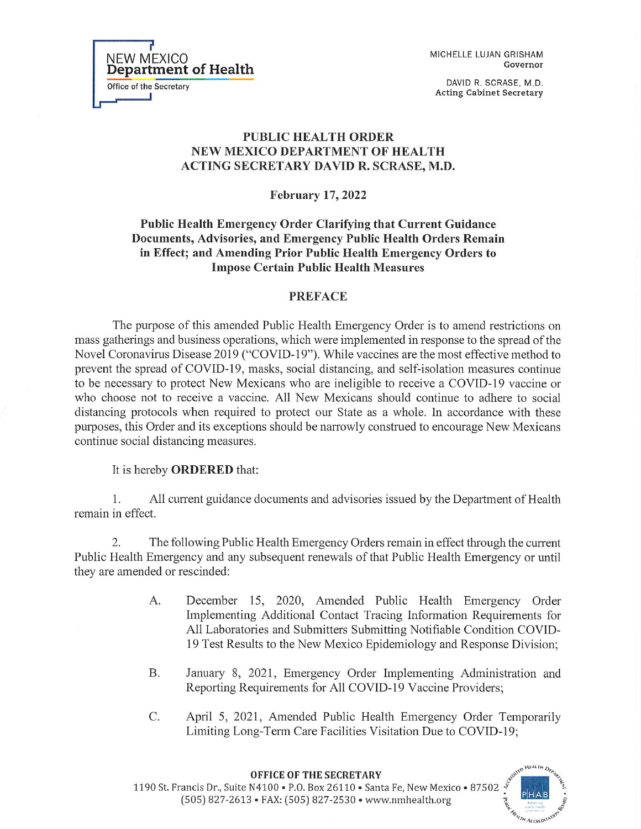MICHELLE LUJAN GRISHAM Governor

DAVID R. SCRASE, M.D. **Acting Cabinet Secretary** 

## **PUBLIC HEALTH ORDER** NEW MEXICO DEPARTMENT OF HEALTH **ACTING SECRETARY DAVID R. SCRASE, M.D.**

**February 17, 2022** 

Public Health Emergency Order Clarifying that Current Guidance Documents, Advisories, and Emergency Public Health Orders Remain in Effect; and Amending Prior Public Health Emergency Orders to **Impose Certain Public Health Measures** 

## **PREFACE**

The purpose of this amended Public Health Emergency Order is to amend restrictions on mass gatherings and business operations, which were implemented in response to the spread of the Novel Coronavirus Disease 2019 ("COVID-19"). While vaccines are the most effective method to prevent the spread of COVID-19, masks, social distancing, and self-isolation measures continue to be necessary to protect New Mexicans who are ineligible to receive a COVID-19 vaccine or who choose not to receive a vaccine. All New Mexicans should continue to adhere to social distancing protocols when required to protect our State as a whole. In accordance with these purposes, this Order and its exceptions should be narrowly construed to encourage New Mexicans continue social distancing measures.

## It is hereby **ORDERED** that:

NEW MEXICO<br>Department of Health

Office of the Secretary

 $\mathbf{1}$ . All current guidance documents and advisories issued by the Department of Health remain in effect.

2. The following Public Health Emergency Orders remain in effect through the current Public Health Emergency and any subsequent renewals of that Public Health Emergency or until they are amended or rescinded:

- $A_{\cdot}$ December 15, 2020, Amended Public Health Emergency Order Implementing Additional Contact Tracing Information Requirements for All Laboratories and Submitters Submitting Notifiable Condition COVID-19 Test Results to the New Mexico Epidemiology and Response Division;
- **B.** January 8, 2021, Emergency Order Implementing Administration and Reporting Requirements for All COVID-19 Vaccine Providers;
- $\mathcal{C}$ . April 5, 2021, Amended Public Health Emergency Order Temporarily Limiting Long-Term Care Facilities Visitation Due to COVID-19;

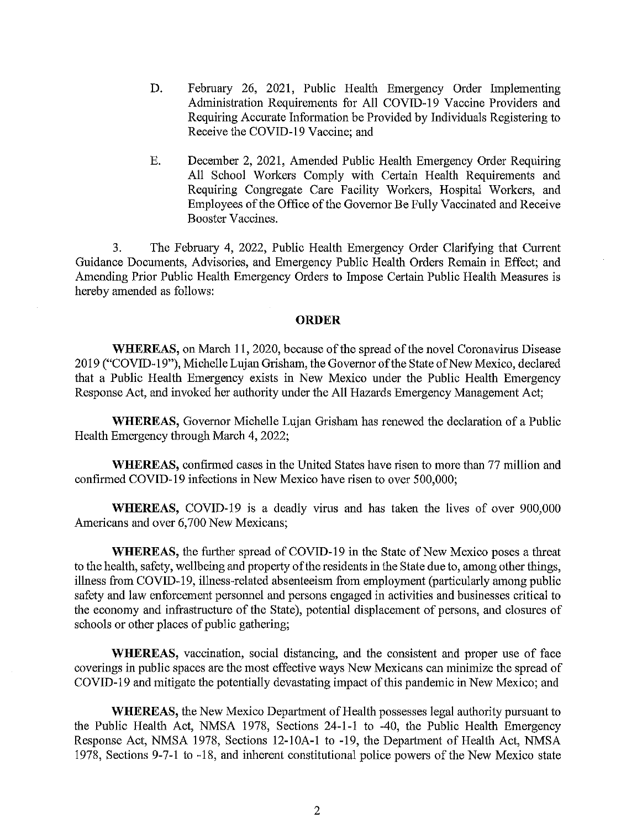- D. February 26, 2021, Public Health Emergency Order Implementing Administration Requirements for All COVID-19 Vaccine Providers and Requiring Accurate Information be Provided by Individuals Registering to Receive the COVID-19 Vaccine; and
- Ε. December 2, 2021, Amended Public Health Emergency Order Requiring All School Workers Comply with Certain Health Requirements and Requiring Congregate Care Facility Workers, Hospital Workers, and Employees of the Office of the Governor Be Fully Vaccinated and Receive Booster Vaccines.

 $3.$ The February 4, 2022, Public Health Emergency Order Clarifying that Current Guidance Documents, Advisories, and Emergency Public Health Orders Remain in Effect; and Amending Prior Public Health Emergency Orders to Impose Certain Public Health Measures is hereby amended as follows:

#### **ORDER**

**WHEREAS**, on March 11, 2020, because of the spread of the novel Coronavirus Disease 2019 ("COVID-19"), Michelle Lujan Grisham, the Governor of the State of New Mexico, declared that a Public Health Emergency exists in New Mexico under the Public Health Emergency Response Act, and invoked her authority under the All Hazards Emergency Management Act;

**WHEREAS,** Governor Michelle Lujan Grisham has renewed the declaration of a Public Health Emergency through March 4, 2022;

**WHEREAS**, confirmed cases in the United States have risen to more than 77 million and confirmed COVID-19 infections in New Mexico have risen to over 500,000;

**WHEREAS, COVID-19** is a deadly virus and has taken the lives of over 900,000 Americans and over 6,700 New Mexicans;

**WHEREAS**, the further spread of COVID-19 in the State of New Mexico poses a threat to the health, safety, wellbeing and property of the residents in the State due to, among other things, illness from COVID-19, illness-related absenteeism from employment (particularly among public safety and law enforcement personnel and persons engaged in activities and businesses critical to the economy and infrastructure of the State), potential displacement of persons, and closures of schools or other places of public gathering;

WHEREAS, vaccination, social distancing, and the consistent and proper use of face coverings in public spaces are the most effective ways New Mexicans can minimize the spread of COVID-19 and mitigate the potentially devastating impact of this pandemic in New Mexico; and

**WHEREAS, the New Mexico Department of Health possesses legal authority pursuant to** the Public Health Act, NMSA 1978, Sections 24-1-1 to -40, the Public Health Emergency Response Act, NMSA 1978, Sections 12-10A-1 to -19, the Department of Health Act, NMSA 1978, Sections 9-7-1 to -18, and inherent constitutional police powers of the New Mexico state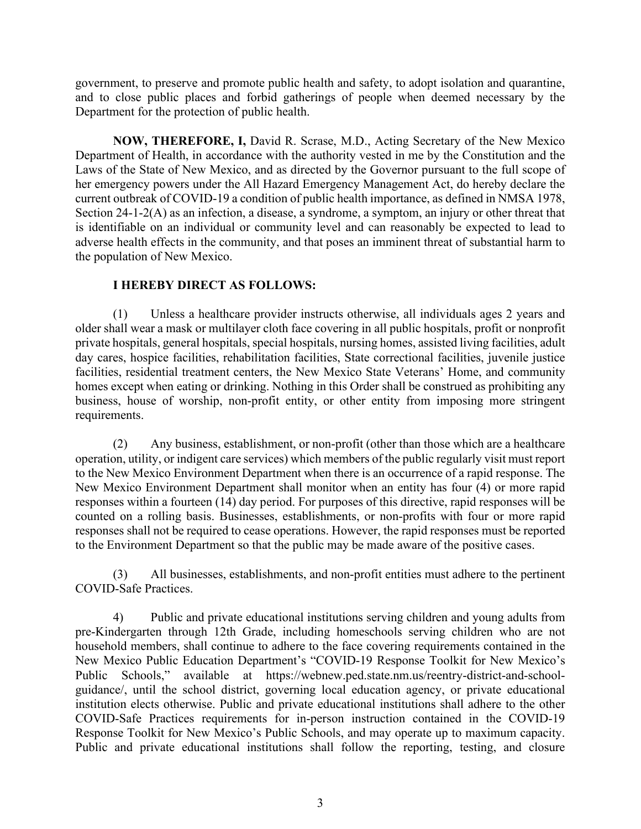government, to preserve and promote public health and safety, to adopt isolation and quarantine, and to close public places and forbid gatherings of people when deemed necessary by the Department for the protection of public health.

**NOW, THEREFORE, I,** David R. Scrase, M.D., Acting Secretary of the New Mexico Department of Health, in accordance with the authority vested in me by the Constitution and the Laws of the State of New Mexico, and as directed by the Governor pursuant to the full scope of her emergency powers under the All Hazard Emergency Management Act, do hereby declare the current outbreak of COVID-19 a condition of public health importance, as defined in NMSA 1978, Section 24-1-2(A) as an infection, a disease, a syndrome, a symptom, an injury or other threat that is identifiable on an individual or community level and can reasonably be expected to lead to adverse health effects in the community, and that poses an imminent threat of substantial harm to the population of New Mexico.

# **I HEREBY DIRECT AS FOLLOWS:**

(1) Unless a healthcare provider instructs otherwise, all individuals ages 2 years and older shall wear a mask or multilayer cloth face covering in all public hospitals, profit or nonprofit private hospitals, general hospitals, special hospitals, nursing homes, assisted living facilities, adult day cares, hospice facilities, rehabilitation facilities, State correctional facilities, juvenile justice facilities, residential treatment centers, the New Mexico State Veterans' Home, and community homes except when eating or drinking. Nothing in this Order shall be construed as prohibiting any business, house of worship, non-profit entity, or other entity from imposing more stringent requirements.

(2) Any business, establishment, or non-profit (other than those which are a healthcare operation, utility, or indigent care services) which members of the public regularly visit must report to the New Mexico Environment Department when there is an occurrence of a rapid response. The New Mexico Environment Department shall monitor when an entity has four (4) or more rapid responses within a fourteen (14) day period. For purposes of this directive, rapid responses will be counted on a rolling basis. Businesses, establishments, or non-profits with four or more rapid responses shall not be required to cease operations. However, the rapid responses must be reported to the Environment Department so that the public may be made aware of the positive cases.

(3) All businesses, establishments, and non-profit entities must adhere to the pertinent COVID-Safe Practices.

4) Public and private educational institutions serving children and young adults from pre-Kindergarten through 12th Grade, including homeschools serving children who are not household members, shall continue to adhere to the face covering requirements contained in the New Mexico Public Education Department's "COVID-19 Response Toolkit for New Mexico's Public Schools," available at https://webnew.ped.state.nm.us/reentry-district-and-schoolguidance/, until the school district, governing local education agency, or private educational institution elects otherwise. Public and private educational institutions shall adhere to the other COVID-Safe Practices requirements for in-person instruction contained in the COVID-19 Response Toolkit for New Mexico's Public Schools, and may operate up to maximum capacity. Public and private educational institutions shall follow the reporting, testing, and closure